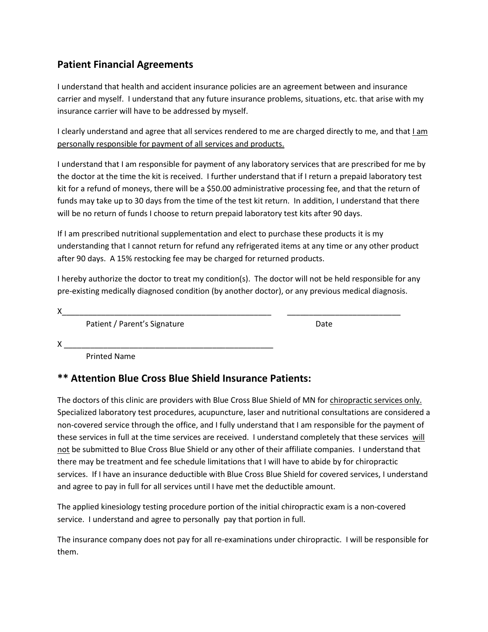## **Patient Financial Agreements**

I understand that health and accident insurance policies are an agreement between and insurance carrier and myself. I understand that any future insurance problems, situations, etc. that arise with my insurance carrier will have to be addressed by myself.

I clearly understand and agree that all services rendered to me are charged directly to me, and that I am personally responsible for payment of all services and products.

I understand that I am responsible for payment of any laboratory services that are prescribed for me by the doctor at the time the kit is received. I further understand that if I return a prepaid laboratory test kit for a refund of moneys, there will be a \$50.00 administrative processing fee, and that the return of funds may take up to 30 days from the time of the test kit return. In addition, I understand that there will be no return of funds I choose to return prepaid laboratory test kits after 90 days.

If I am prescribed nutritional supplementation and elect to purchase these products it is my understanding that I cannot return for refund any refrigerated items at any time or any other product after 90 days. A 15% restocking fee may be charged for returned products.

I hereby authorize the doctor to treat my condition(s). The doctor will not be held responsible for any pre-existing medically diagnosed condition (by another doctor), or any previous medical diagnosis.

X\_\_\_\_\_\_\_\_\_\_\_\_\_\_\_\_\_\_\_\_\_\_\_\_\_\_\_\_\_\_\_\_\_\_\_\_\_\_\_\_\_\_\_\_\_\_\_\_ \_\_\_\_\_\_\_\_\_\_\_\_\_\_\_\_\_\_\_\_\_\_\_\_\_\_

Patient / Parent's Signature Date Date

X \_\_\_\_\_\_\_\_\_\_\_\_\_\_\_\_\_\_\_\_\_\_\_\_\_\_\_\_\_\_\_\_\_\_\_\_\_\_\_\_\_\_\_\_\_\_\_\_

Printed Name

## **\*\* Attention Blue Cross Blue Shield Insurance Patients:**

The doctors of this clinic are providers with Blue Cross Blue Shield of MN for chiropractic services only. Specialized laboratory test procedures, acupuncture, laser and nutritional consultations are considered a non-covered service through the office, and I fully understand that I am responsible for the payment of these services in full at the time services are received. I understand completely that these services will not be submitted to Blue Cross Blue Shield or any other of their affiliate companies. I understand that there may be treatment and fee schedule limitations that I will have to abide by for chiropractic services. If I have an insurance deductible with Blue Cross Blue Shield for covered services, I understand and agree to pay in full for all services until I have met the deductible amount.

The applied kinesiology testing procedure portion of the initial chiropractic exam is a non-covered service. I understand and agree to personally pay that portion in full.

The insurance company does not pay for all re-examinations under chiropractic. I will be responsible for them.